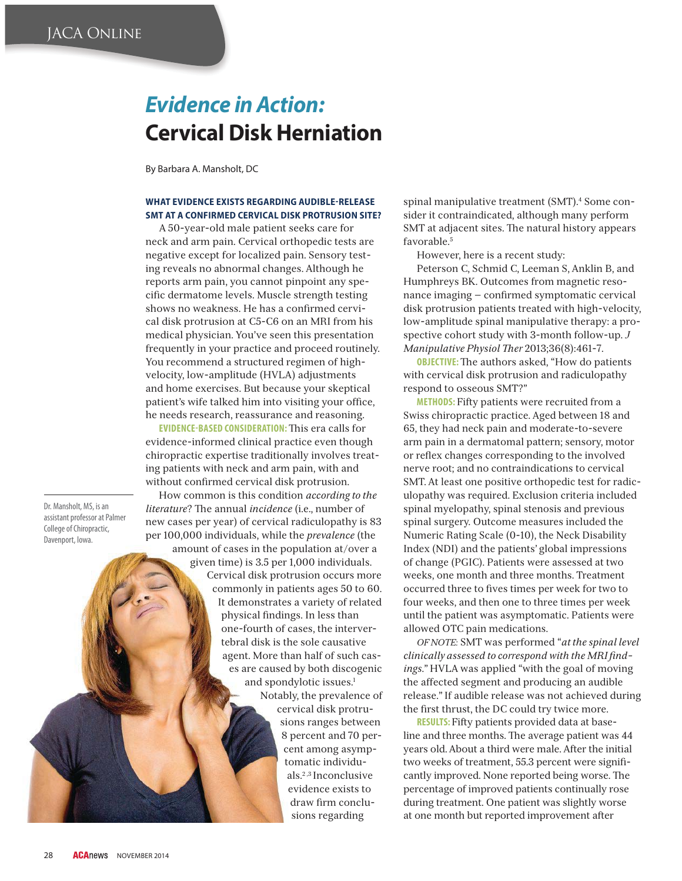# **Evidence in Action: Cervical Disk Herniation**

By Barbara A. Mansholt, DC

## **WHAT EVIDENCE EXISTS REGARDING AUDIBLE-RELEASE SMT AT A CONFIRMED CERVICAL DISK PROTRUSION SITE?**

A 50-year-old male patient seeks care for neck and arm pain. Cervical orthopedic tests are negative except for localized pain. Sensory testing reveals no abnormal changes. Although he reports arm pain, you cannot pinpoint any specific dermatome levels. Muscle strength testing shows no weakness. He has a confirmed cervical disk protrusion at C5-C6 on an MRI from his medical physician. You've seen this presentation frequently in your practice and proceed routinely. You recommend a structured regimen of highvelocity, low-amplitude (HVLA) adjustments and home exercises. But because your skeptical patient's wife talked him into visiting your office, he needs research, reassurance and reasoning.

**EVIDENCE-BASED CONSIDERATION: This era calls for** evidence-informed clinical practice even though chiropractic expertise traditionally involves treating patients with neck and arm pain, with and without confirmed cervical disk protrusion.

Dr. Mansholt, MS, is an<br>assistant professor at Palmer College of Chiropractic, College of Chirophy<br>College of Chirop Davenport, Iowa.

How common is this condition *according to the literature*? The annual *incidence* (i.e., number of new cases per year) of cervical radiculopathy is 83 per 100,000 individuals, while the *prevalence* (the amount of cases in the population at/over a

> given time) is 3.5 per 1,000 individuals. Cervical disk protrusion occurs more commonly in patients ages 50 to 60. It demonstrates a variety of related physical findings. In less than one-fourth of cases, the intervertebral disk is the sole causative agent. More than half of such cases are caused by both discogenic and spondylotic issues.<sup>1</sup> Notably, the prevalence of cervical disk protrusions ranges between 8 percent and 70 percent among asymp-

tomatic individuals.2 ,3 Inconclusive evidence exists to draw firm conclusions regarding

spinal manipulative treatment (SMT).<sup>4</sup> Some consider it contraindicated, although many perform SMT at adjacent sites. The natural history appears favorable.5

However, here is a recent study:

Peterson C, Schmid C, Leeman S, Anklin B, and Humphreys BK. Outcomes from magnetic resonance imaging  $-$  confirmed symptomatic cervical disk protrusion patients treated with high-velocity, low-amplitude spinal manipulative therapy: a prospective cohort study with 3-month follow-up. *J Manipulative Physiol - er* 2013;36(8):461-7.

**OBJECTIVE:** The authors asked, "How do patients with cervical disk protrusion and radiculopathy respond to osseous SMT?"

**METHODS:** Fifty patients were recruited from a Swiss chiropractic practice. Aged between 18 and 65, they had neck pain and moderate-to-severe arm pain in a dermatomal pattern; sensory, motor or reflex changes corresponding to the involved nerve root; and no contraindications to cervical SMT. At least one positive orthopedic test for radiculopathy was required. Exclusion criteria included spinal myelopathy, spinal stenosis and previous spinal surgery. Outcome measures included the Numeric Rating Scale (0-10), the Neck Disability Index (NDI) and the patients' global impressions of change (PGIC). Patients were assessed at two weeks, one month and three months. Treatment occurred three to fives times per week for two to four weeks, and then one to three times per week until the patient was asymptomatic. Patients were allowed OTC pain medications.

*OF NOTE:* SMT was performed "*at the spinal level*  clinically assessed to correspond with the MRI find*ings*." HVLA was applied "with the goal of moving the affected segment and producing an audible release." If audible release was not achieved during the first thrust, the DC could try twice more.

**RESULTS:** Fifty patients provided data at baseline and three months. The average patient was 44 years old. About a third were male. After the initial two weeks of treatment, 55.3 percent were significantly improved. None reported being worse. The percentage of improved patients continually rose during treatment. One patient was slightly worse at one month but reported improvement after